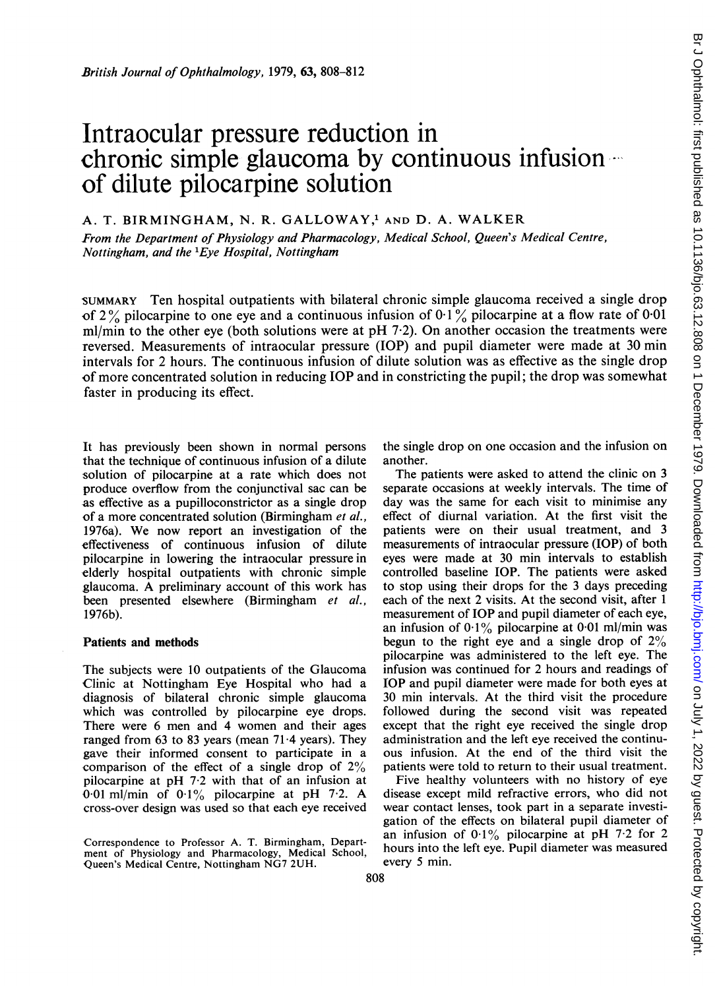# Intraocular pressure reduction in chronic simple glaucoma by continuous infusionof dilute pilocarpine solution

A. T. BIRMINGHAM, N. R. GALLOWAY,' AND D. A. WALKER

From the Department of Physiology and Pharmacology, Medical School, Queen's Medical Centre, Nottingham, and the 'Eye Hospital, Nottingham

'SUMMARY Ten hospital outpatients with bilateral chronic simple glaucoma received a single drop of 2% pilocarpine to one eye and a continuous infusion of  $0.1\%$  pilocarpine at a flow rate of  $0.01$ ml/min to the other eye (both solutions were at pH  $7.2$ ). On another occasion the treatments were reversed. Measurements of intraocular pressure (IOP) and pupil diameter were made at 30 min intervals for 2 hours. The continuous infusion of dilute solution was as effective as the single drop of more concentrated solution in reducing IOP and in constricting the pupil; the drop was somewhat faster in producing its effect.

It has previously been shown in normal persons that the technique of continuous infusion of a dilute solution of pilocarpine at a rate which does not produce overflow from the conjunctival sac can be as effective as a pupilloconstrictor as a single drop of a more concentrated solution (Birmingham et al., 1976a). We now report an investigation of the effectiveness of continuous infusion of dilute pilocarpine in lowering the intraocular pressure in elderly hospital outpatients with chronic simple glaucoma. A preliminary account of this work has been presented elsewhere (Birmingham et al., 1976b).

### Patients and methods

The subjects were 10 outpatients of the Glaucoma Clinic at Nottingham Eye Hospital who had a diagnosis of bilateral chronic simple glaucoma which was controlled by pilocarpine eye drops. There were 6 men and 4 women and their ages ranged from 63 to 83 years (mean  $71.4$  years). They gave their informed consent to participate in a comparison of the effect of a single drop of  $2\%$ pilocarpine at pH 7-2 with that of an infusion at 0.01 ml/min of 0.1% pilocarpine at pH 7.2. A cross-over design was used so that each eye received the single drop on one occasion and the infusion on another.

The patients were asked to attend the clinic on 3 separate occasions at weekly intervals. The time of day was the same for each visit to minimise any effect of diurnal variation. At the first visit the patients were on their usual treatment, and 3 measurements of intraocular pressure (IOP) of both eyes were made at 30 min intervals to establish controlled baseline IOP. The patients were asked to stop using their drops for the 3 days preceding each of the next 2 visits. At the second visit, after <sup>1</sup> measurement of IOP and pupil diameter of each eye, an infusion of  $0.1\%$  pilocarpine at  $0.01$  ml/min was begun to the right eye and a single drop of  $2\%$ pilocarpine was administered to the left eye. The infusion was continued for 2 hours and readings of fOP and pupil diameter were made for both eyes at 30 min intervals. At the third visit the procedure followed during the second visit was repeated except that the right eye received the single drop administration and the left eye received the continuous infusion. At the end of the third visit the patients were told to return to their usual treatment.

Five healthy volunteers with no history of eye disease except mild refractive errors, who did not wear contact lenses, took part in a separate investigation of the effects on bilateral pupil diameter of an infusion of  $0.1\%$  pilocarpine at pH 7.2 for 2 hours into the left eye. Pupil diameter was measured every 5 min.

Correspondence to Professor A. T. Birmingham, Department of Physiology and Pharmacology, Medical School. Queen's Medical Centre, Nottingham NG7 2UH.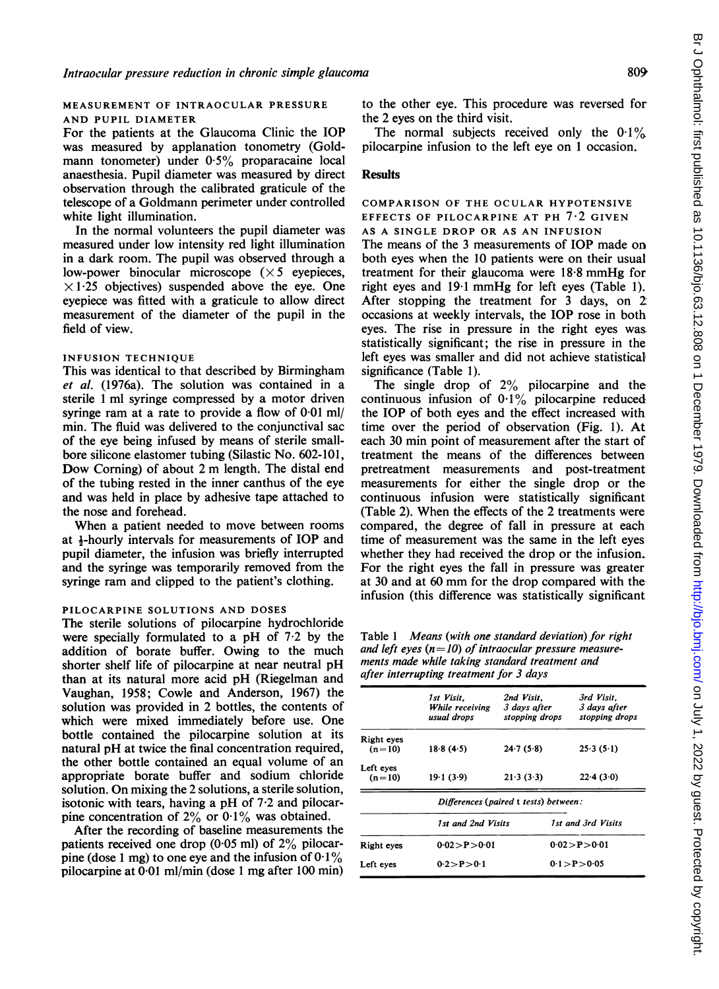## MEASUREMENT OF INTRAOCULAR PRESSURE AND PUPIL DIAMETER

For the patients at the Glaucoma Clinic the IOP was measured by applanation tonometry (Goldmann tonometer) under 0.5% proparacaine local anaesthesia. Pupil diameter was measured by direct observation through the calibrated graticule of the telescope of a Goldmann perimeter under controlled white light illumination.

In the normal volunteers the pupil diameter was measured under low intensity red light illumination in a dark room. The pupil was observed through a low-power binocular microscope  $(\times 5$  eyepieces,  $\times$ 1.25 objectives) suspended above the eye. One eyepiece was fitted with a graticule to allow direct measurement of the diameter of the pupil in the field of view.

# INFUSION TECHNIQUE

This was identical to that described by Birmingham et al. (1976a). The solution was contained in a sterile <sup>1</sup> ml syringe compressed by a motor driven syringe ram at a rate to provide a flow of 0-01 ml/ min. The fluid was delivered to the conjunctival sac of the eye being infused by means of sterile smallbore silicone elastomer tubing (Silastic No. 602-101, Dow Corning) of about <sup>2</sup> m length. The distal end of the tubing rested in the inner canthus of the eye and was held in place by adhesive tape attached to the nose and forehead.

When a patient needed to move between rooms at  $\frac{1}{2}$ -hourly intervals for measurements of IOP and pupil diameter, the infusion was briefly interrupted and the syringe was temporarily removed from the syringe ram and clipped to the patient's clothing.

#### PILOCARPINE SOLUTIONS AND DOSES

The sterile solutions of pilocarpine hydrochloride were specially formulated to a pH of 7-2 by the addition of borate buffer. Owing to the much shorter shelf life of pilocarpine at near neutral pH than at its natural more acid pH (Riegelman and Vaughan, 1958; Cowle and Anderson, 1967) the solution was provided in 2 bottles, the contents of which were mixed immediately before use. One bottle contained the pilocarpine solution at its natural pH at twice the final concentration required, the other bottle contained an equal volume of an appropriate borate buffer and sodium chloride solution. On mixing the 2 solutions, a sterile solution, isotonic with tears, having a pH of 7-2 and pilocarpine concentration of 2% or 0-1% was obtained.

After the recording of baseline measurements the patients received one drop  $(0.05 \text{ ml})$  of  $2\%$  pilocarpine (dose 1 mg) to one eye and the infusion of  $0.1\%$ pilocarpine at 0-01 ml/min (dose <sup>1</sup> mg after 100 min) to the other eye. This procedure was reversed for the 2 eyes on the third visit.

The normal subjects received only the  $0.1\%$ pilocarpine infusion to the left eye on <sup>1</sup> occasion.

## **Results**

# COMPARISON OF THE OCULAR HYPOTENSIVE EFFECTS OF PILOCARPINE AT PH 7-2 GIVEN AS A SINGLE DROP OR AS AN INFUSION

The means of the <sup>3</sup> measurements of IOP made on both eyes when the 10 patients were on their usual treatment for their glaucoma were 18-8 mmHg for right eyes and  $19.1$  mmHg for left eyes (Table 1). After stopping the treatment for 3 days, on 2 occasions at weekly intervals, the IOP rose in both eyes. The rise in pressure in the right eyes was. statistically significant; the rise in pressure in the left eyes was smaller and did not achieve statistical significance (Table 1).

The single drop of  $2\%$  pilocarpine and the continuous infusion of  $0.1\%$  pilocarpine reduced the IOP of both eyes and the effect increased with time over the period of observation (Fig. 1). At each 30 min point of measurement after the start of treatment the means of the differences between pretreatment measurements and post-treatment measurements for either the single drop or the continuous infusion were statistically significant (Table 2). When the effects of the 2 treatments were compared, the degree of fall in pressure at each time of measurement was the same in the left eyes whether they had received the drop or the infusion. For the right eyes the fall in pressure was greater at <sup>30</sup> and at <sup>60</sup> mm for the drop compared with the infusion (this difference was statistically significant

Table <sup>1</sup> Means (with one standard deviation) for right and left eyes  $(n=10)$  of intraocular pressure measurements made while taking standard treatment and after interrupting treatment for 3 days

|                        | 1st Visit.<br>While receiving<br>usual drops | 2nd Visit.<br>3 days after<br>stopping drops | 3rd Visit.<br>3 days after<br>stopping drops |  |
|------------------------|----------------------------------------------|----------------------------------------------|----------------------------------------------|--|
| Right eyes<br>$(n=10)$ | 18.8(4.5)                                    | 24.7(5.8)                                    | 25.3(5.1)                                    |  |
| Left eyes<br>$(n=10)$  | 19.1(3.9)                                    | 21.3(3.3)                                    | 22.4(3.0)                                    |  |
|                        |                                              | Differences (paired t tests) between:        |                                              |  |
|                        | 1st and 2nd Visits                           |                                              | 1st and 3rd Visits                           |  |
| Right eyes             | 0.02 > P > 0.01                              |                                              | 0.02 > P > 0.01                              |  |
| Left eyes              | 0.2 > P > 0.1                                |                                              | 0.1 > P > 0.05                               |  |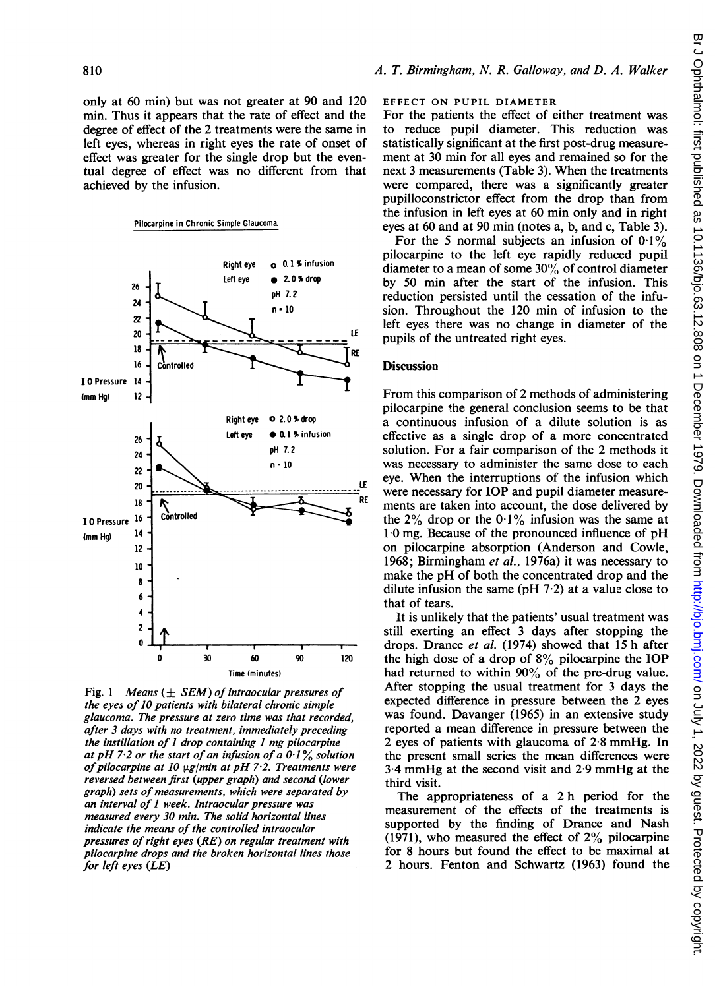Pilocarpine in Chronic Simple Glaucoma



Fig. 1 Means  $(\pm$  SEM) of intraocular pressures of the eyes of 10 patients with bilateral chronic simple glaucoma. The pressure at zero time was that recorded, after 3 days with no treatment, immediately preceding the instillation of  $1$  drop containing  $1$  mg pilocarpine at pH 7.2 or the start of an infusion of a  $0.1\%$  solution of pilocarpine at 10  $\mu$ g/min at pH 7.2. Treatments were reversed between first (upper graph) and second (lower third visit. graph) sets of measurements, which were separated by an interval of 1 week. Intraocular pressure measured every 30 min. The solid horizontal lines indicate the means of the controlled intraocular pressures of right eyes  $(RE)$  on regular treatment with pilocarpine drops and the broken horizontal lines those for left eyes (LE)

# A. T. Birmingham, N. R. Galloway, and D. A. Walker

#### EFFECT ON PUPIL DIAMETER

For the patients the effect of either treatment was to reduce pupil diameter. This reduction was statistically significant at the first post-drug measurement at 30 min for all eyes and remained so for the next <sup>3</sup> measurements (Table 3). When the treatments were compared, there was a significantly greater pupilloconstrictor effect from the drop than from the infusion in left eyes at 60 min only and in right eyes at 60 and at 90 min (notes a, b, and c, Table 3).

For the 5 normal subjects an infusion of  $0.1\%$ pilocarpine to the left eye rapidly reduced pupil diameter to a mean of some  $30\%$  of control diameter by 50 min after the start of the infusion. This reduction persisted until the cessation of the infusion. Throughout the 120 min of infusion to the left eyes there was no change in diameter of the pupils of the untreated right eyes.

#### **Discussion**

From this comparison of 2 methods of administering pilocarpine the general conclusion seems to be that a continuous infusion of a dilute solution is as • 0.1 % infusion effective as a single drop of a more concentrated pH 7.2 solution. For a fair comparison of the 2 methods it was necessary to administer the same dose to each  $L$  eye. When the interruptions of the infusion which were necessary for lOP and pupil diameter measure-RE ments are taken into account, the dose delivered by the  $2\%$  drop or the  $0.1\%$  infusion was the same at 1-0 mg. Because of the pronounced influence of pH on pilocarpine absorption (Anderson and Cowle, 1968; Birmingham et al., 1976a) it was necessary to make the pH of both the concentrated drop and the dilute infusion the same (pH  $7.2$ ) at a value close to that of tears.

It is unlikely that the patients' usual treatment was still exerting an effect 3 days after stopping the drops. Drance et al. (1974) showed that 15 h after <sup>90</sup> <sup>120</sup> the high dose of <sup>a</sup> drop of 8% pilocarpine the IOP had returned to within 90% of the pre-drug value. After stopping the usual treatment for 3 days the expected difference in pressure between the 2 eyes was found. Davanger (1965) in an extensive study reported a mean difference in pressure between the 2 eyes of patients with glaucoma of  $2.8$  mmHg. In the present small series the mean differences were  $3.4$  mmHg at the second visit and  $2.9$  mmHg at the

The appropriateness of a 2 h period for the measurement of the effects of the treatments is supported by the finding of Drance and Nash (1971), who measured the effect of  $2\%$  pilocarpine for 8 hours but found the effect to be maximal at 2 hours. Fenton and Schwartz (1963) found the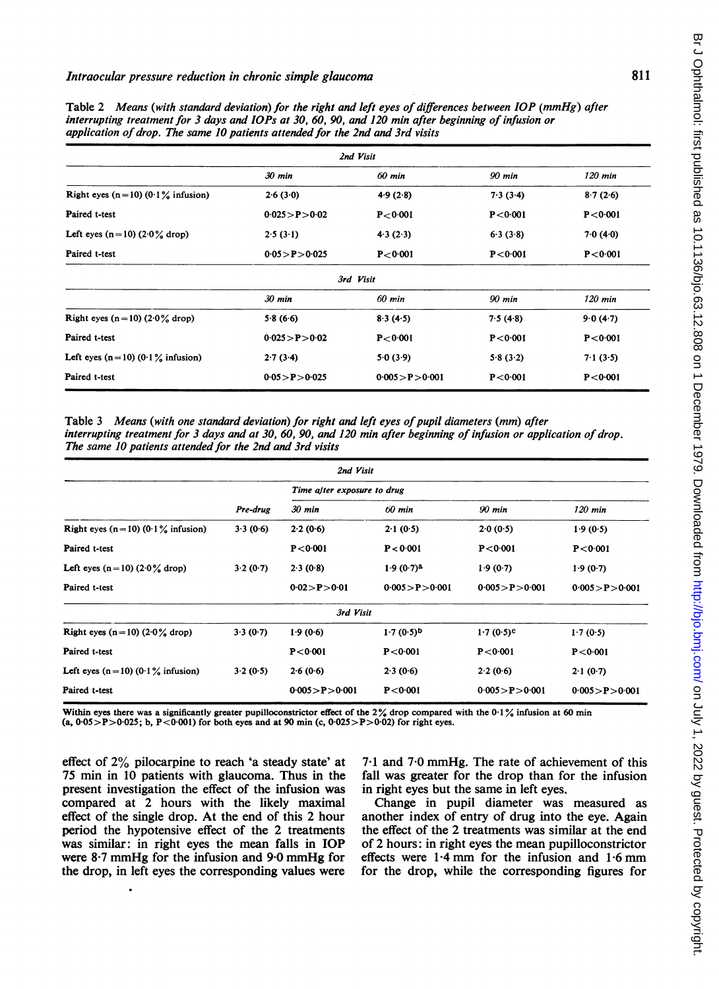| 2nd Visit                           |                  |                   |           |           |  |  |  |
|-------------------------------------|------------------|-------------------|-----------|-----------|--|--|--|
|                                     | 30 min           | 60 min            | 90 min    | $120$ min |  |  |  |
| Right eyes $(n=10)$ (0.1% infusion) | 2.6(3.0)         | 4.9(2.8)          | 7.3(3.4)  | 8.7(2.6)  |  |  |  |
| Paired t-test                       | 0.025 > P > 0.02 | P < 0.001         | P < 0.001 | P < 0.001 |  |  |  |
| Left eyes $(n=10)$ (2.0% drop)      | 2.5(3.1)         | 4.3(2.3)          | 6.3(3.8)  | 7.0(4.0)  |  |  |  |
| Paired t-test                       | 0.05 > P > 0.025 | P < 0.001         | P < 0.001 | P < 0.001 |  |  |  |
|                                     |                  | 3rd Visit         |           |           |  |  |  |
|                                     | 30 min           | 60 min            | 90 min    | $120$ min |  |  |  |
| Right eyes $(n=10)$ (2.0% drop)     | 5.8(6.6)         | 8.3(4.5)          | 7.5(4.8)  | 9.0(4.7)  |  |  |  |
| Paired t-test                       | 0.025 > P > 0.02 | P < 0.001         | P < 0.001 | P < 0.001 |  |  |  |
| Left eyes $(n=10)$ (0.1% infusion)  | 2.7(3.4)         | 5.0(3.9)          | 5.8(3.2)  | 7.1(3.5)  |  |  |  |
| Paired t-test                       | 0.05 > P > 0.025 | 0.005 > P > 0.001 | P < 0.001 | P < 0.001 |  |  |  |

Table 2 Means (with standard deviation) for the right and left eyes of differences between IOP (mmHg) after interrupting treatment for 3 days and IOPs at 30, 60, 90, and 120 min after beginning of infusion or application of drop. The same 10 patients attended for the 2nd and 3rd visits

Table 3 Means (with one standard deviation) for right and left eyes of pupil diameters (mm) after interrupting treatment for 3 days and at 30, 60, 90, and 120 min after beginning of infusion or application of drop. The same 10 patients attended for the 2nd and 3rd visits

| 2nd Visit                                       |          |                             |                   |                   |                   |  |  |
|-------------------------------------------------|----------|-----------------------------|-------------------|-------------------|-------------------|--|--|
|                                                 |          | Time after exposure to drug |                   |                   |                   |  |  |
|                                                 | Pre-drug | 30 min                      | 60 min            | 90 min            | 120 min           |  |  |
| Right eyes $(n=10)$ (0.1% infusion)<br>3.3(0.6) |          | 2.2(0.6)                    | 2.1(0.5)          | 2.0(0.5)          | 1.9(0.5)          |  |  |
| Paired t-test                                   |          | P < 0.001                   | P < 0.001         | P < 0.001         | P < 0.001         |  |  |
| Left eyes $(n=10)$ (2.0% drop)<br>3.2(0.7)      |          | 2.3(0.8)                    | $1.9(0.7)^{a}$    | 1.9(0.7)          | 1.9(0.7)          |  |  |
| Paired t-test                                   |          | 0.02 > P > 0.01             | 0.005 > P > 0.001 | 0.005 > P > 0.001 | 0.005 > P > 0.001 |  |  |
|                                                 |          | 3rd Visit                   |                   |                   |                   |  |  |
| Right eyes $(n=10)$ (2.0% drop)                 | 3.3(0.7) | 1.9(0.6)                    | $1.7(0.5)^{b}$    | $1.7(0.5)^c$      | 1.7(0.5)          |  |  |
| Paired t-test                                   |          | P < 0.001                   | P < 0.001         | P < 0.001         | P < 0.001         |  |  |
| Left eyes $(n=10)$ (0.1% infusion)              | 3.2(0.5) | 2.6(0.6)                    | 2.3(0.6)          | 2.2(0.6)          | 2.1(0.7)          |  |  |
| Paired t-test                                   |          | 0.005 > P > 0.001           | P < 0.001         | 0.005 > P > 0.001 | 0.005 > P > 0.001 |  |  |

Within eyes there was a significantly greater pupilloconstrictor effect of the 2% drop compared with the 0.1% infusion at 60 min (a,  $0.05 > P > 0.025$ ; b,  $P < 0.001$ ) for both eyes and at 90 min (c,  $0.025 > P > 0.02$ ) for right eyes.

effect of 2% pilocarpine to reach 'a steady state' at 75 min in 10 patients with glaucoma. Thus in the present investigation the effect of the infusion was compared at 2 hours with the likely maximal effect of the single drop. At the end of this 2 hour period the hypotensive effect of the 2 treatments was similar: in right eyes the mean falls in IOP were  $8.7$  mmHg for the infusion and  $9.0$  mmHg for the drop, in left eyes the corresponding values were

 $7·1$  and  $7·0$  mmHg. The rate of achievement of this fall was greater for the drop than for the infusion in right eyes but the same in left eyes.

Change in pupil diameter was measured as another index of entry of drug into the eye. Again the effect of the 2 treatments was similar at the end of 2 hours: in right eyes the mean pupilloconstrictor effects were  $1.4$  mm for the infusion and  $1.6$  mm for the drop, while the corresponding figures for